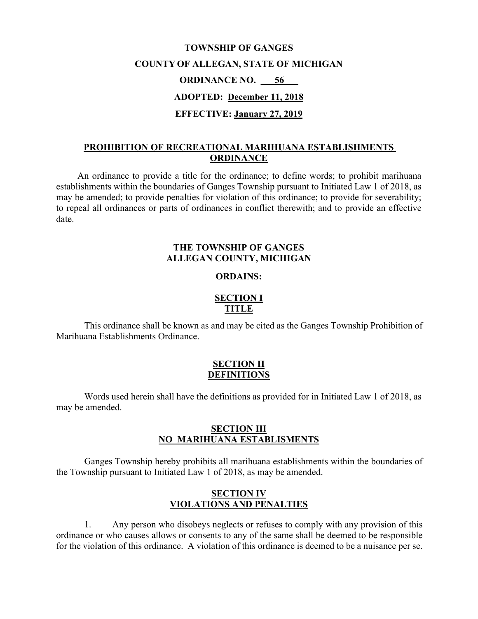# **TOWNSHIP OF GANGES COUNTY OF ALLEGAN, STATE OF MICHIGAN ORDINANCE NO. \_\_\_56\_\_\_ ADOPTED: December 11, 2018 EFFECTIVE: January 27, 2019**

## **PROHIBITION OF RECREATIONAL MARIHUANA ESTABLISHMENTS ORDINANCE**

An ordinance to provide a title for the ordinance; to define words; to prohibit marihuana establishments within the boundaries of Ganges Township pursuant to Initiated Law 1 of 2018, as may be amended; to provide penalties for violation of this ordinance; to provide for severability; to repeal all ordinances or parts of ordinances in conflict therewith; and to provide an effective date.

### **THE TOWNSHIP OF GANGES ALLEGAN COUNTY, MICHIGAN**

#### **ORDAINS:**

## **SECTION I TITLE**

This ordinance shall be known as and may be cited as the Ganges Township Prohibition of Marihuana Establishments Ordinance.

#### **SECTION II DEFINITIONS**

Words used herein shall have the definitions as provided for in Initiated Law 1 of 2018, as may be amended.

#### **SECTION III NO MARIHUANA ESTABLISMENTS**

Ganges Township hereby prohibits all marihuana establishments within the boundaries of the Township pursuant to Initiated Law 1 of 2018, as may be amended.

## **SECTION IV VIOLATIONS AND PENALTIES**

1. Any person who disobeys neglects or refuses to comply with any provision of this ordinance or who causes allows or consents to any of the same shall be deemed to be responsible for the violation of this ordinance. A violation of this ordinance is deemed to be a nuisance per se.